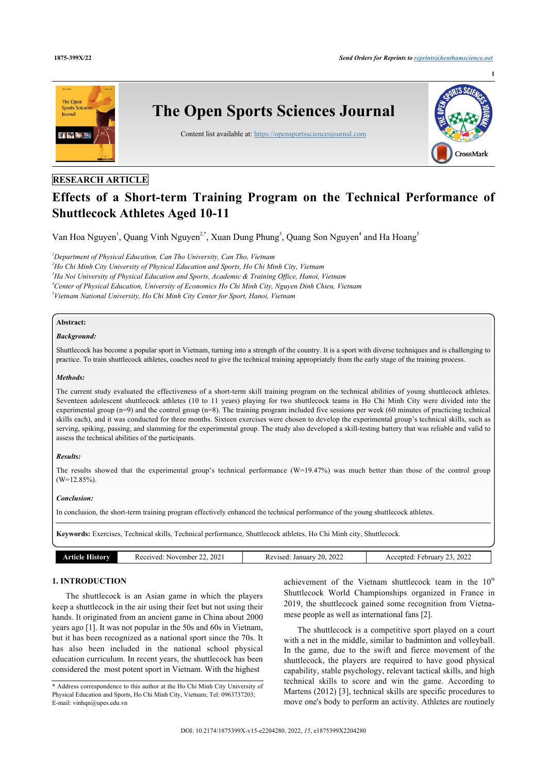

# **RESEARCH ARTICLE**

# **Effects of a Short-term Training Program on the Technical Performance of Shuttlecock Athletes Aged 10-11**

Van Hoa Nguyen<sup>[1](#page-0-0)</sup>, Quang Vinh Nguyen<sup>[2](#page-0-1),[\\*](#page-0-2)</sup>, Xuan Dung Phung<sup>[3](#page-0-3)</sup>, Quang Son Nguyen<sup>[4](#page-0-4)</sup> and Ha Hoang<sup>[5](#page-0-5)</sup>

<span id="page-0-0"></span>*<sup>1</sup>Department of Physical Education, Can Tho University, Can Tho, Vietnam*

<span id="page-0-1"></span>*<sup>2</sup>Ho Chi Minh City University of Physical Education and Sports, Ho Chi Minh City, Vietnam*

<span id="page-0-3"></span>*<sup>3</sup>Ha Noi University of Physical Education and Sports, Academic & Training Office, Hanoi, Vietnam*

<span id="page-0-5"></span><span id="page-0-4"></span>*<sup>4</sup>Center of Physical Education, University of Economics Ho Chi Minh City, Nguyen Dinh Chieu, Vietnam*

*5 Vietnam National University, Ho Chi Minh City Center for Sport, Hanoi, Vietnam*

# **Abstract:**

#### *Background:*

Shuttlecock has become a popular sport in Vietnam, turning into a strength of the country. It is a sport with diverse techniques and is challenging to practice. To train shuttlecock athletes, coaches need to give the technical training appropriately from the early stage of the training process.

# *Methods:*

The current study evaluated the effectiveness of a short-term skill training program on the technical abilities of young shuttlecock athletes. Seventeen adolescent shuttlecock athletes (10 to 11 years) playing for two shuttlecock teams in Ho Chi Minh City were divided into the experimental group ( $n=9$ ) and the control group ( $n=8$ ). The training program included five sessions per week (60 minutes of practicing technical skills each), and it was conducted for three months. Sixteen exercises were chosen to develop the experimental group's technical skills, such as serving, spiking, passing, and slamming for the experimental group. The study also developed a skill-testing battery that was reliable and valid to assess the technical abilities of the participants.

## *Results:*

The results showed that the experimental group's technical performance  $(W=19.47%)$  was much better than those of the control group (W=12.85%).

#### *Conclusion:*

In conclusion, the short-term training program effectively enhanced the technical performance of the young shuttlecock athletes.

**Keywords:** Exercises, Technical skills, Technical performance, Shuttlecock athletes, Ho Chi Minh city, Shuttlecock.

| adore -<br>теір | 2021<br>Received:<br>November<br>-- | 2022<br>January<br>Revised:<br>$\sim$<br>--- | 2022<br>Accepted:<br>ebruary |
|-----------------|-------------------------------------|----------------------------------------------|------------------------------|

# **1. INTRODUCTION**

The shuttlecock is an Asian game in which the players keep a shuttlecock in the air using their feet but not using their hands. It originated from an ancient game in China about 2000 years ago [\[1\]](#page-6-0). It was not popular in the 50s and 60s in Vietnam, but it has been recognized as a national sport since the 70s. It has also been included in the national school physical education curriculum. In recent years, the shuttlecock has been considered the most potent sport in Vietnam. With the highest

achievement of the Vietnam shuttlecock team in the  $10<sup>th</sup>$ Shuttlecock World Championships organized in France in 2019, the shuttlecock gained some recognition from Vietnamese people as well as international fans [\[2\]](#page-6-1).

The shuttlecock is a competitive sport played on a court with a net in the middle, similar to badminton and volleyball. In the game, due to the swift and fierce movement of the shuttlecock, the players are required to have good physical capability, stable psychology, relevant tactical skills, and high technical skills to score and win the game. According to Martens (2012) [\[3\]](#page-6-2), technical skills are specific procedures to move one's body to perform an activity. Athletes are routinely

<span id="page-0-2"></span><sup>\*</sup> Address correspondence to this author at the Ho Chi Minh City University of Physical Education and Sports, Ho Chi Minh City, Vietnam; Tel: 0963737203; E-mail: [vinhqn@upes.edu.vn](mailto:vinhqn@upes.edu.vn)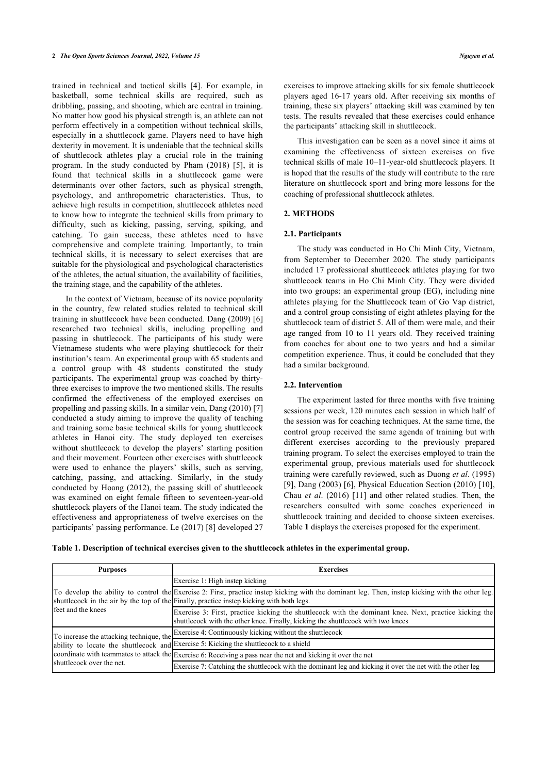trained in technical and tactical skills [\[4](#page-6-3)]. For example, in basketball, some technical skills are required, such as dribbling, passing, and shooting, which are central in training. No matter how good his physical strength is, an athlete can not perform effectively in a competition without technical skills, especially in a shuttlecock game. Players need to have high dexterity in movement. It is undeniable that the technical skills of shuttlecock athletes play a crucial role in the training program. In the study conducted by Pham (2018)[[5\]](#page-6-4), it is found that technical skills in a shuttlecock game were determinants over other factors, such as physical strength, psychology, and anthropometric characteristics. Thus, to achieve high results in competition, shuttlecock athletes need to know how to integrate the technical skills from primary to difficulty, such as kicking, passing, serving, spiking, and catching. To gain success, these athletes need to have comprehensive and complete training. Importantly, to train technical skills, it is necessary to select exercises that are suitable for the physiological and psychological characteristics of the athletes, the actual situation, the availability of facilities, the training stage, and the capability of the athletes.

In the context of Vietnam, because of its novice popularity in the country, few related studies related to technical skill training in shuttlecock have been conducted. Dang (2009) [[6](#page-6-5)] researched two technical skills, including propelling and passing in shuttlecock. The participants of his study were Vietnamese students who were playing shuttlecock for their institution's team. An experimental group with 65 students and a control group with 48 students constituted the study participants. The experimental group was coached by thirtythree exercises to improve the two mentioned skills. The results confirmed the effectiveness of the employed exercises on propelling and passing skills. In a similar vein, Dang (2010) [[7](#page-6-6)] conducted a study aiming to improve the quality of teaching and training some basic technical skills for young shuttlecock athletes in Hanoi city. The study deployed ten exercises without shuttlecock to develop the players' starting position and their movement. Fourteen other exercises with shuttlecock were used to enhance the players' skills, such as serving, catching, passing, and attacking. Similarly, in the study conducted by Hoang (2012), the passing skill of shuttlecock was examined on eight female fifteen to seventeen-year-old shuttlecock players of the Hanoi team. The study indicated the effectiveness and appropriateness of twelve exercises on the participants' passing performance. Le (2017) [\[8\]](#page-6-7) developed 27

exercises to improve attacking skills for six female shuttlecock players aged 16-17 years old. After receiving six months of training, these six players' attacking skill was examined by ten tests. The results revealed that these exercises could enhance the participants' attacking skill in shuttlecock.

This investigation can be seen as a novel since it aims at examining the effectiveness of sixteen exercises on five technical skills of male 10–11-year-old shuttlecock players. It is hoped that the results of the study will contribute to the rare literature on shuttlecock sport and bring more lessons for the coaching of professional shuttlecock athletes.

### **2. METHODS**

#### **2.1. Participants**

The study was conducted in Ho Chi Minh City, Vietnam, from September to December 2020. The study participants included 17 professional shuttlecock athletes playing for two shuttlecock teams in Ho Chi Minh City. They were divided into two groups: an experimental group (EG), including nine athletes playing for the Shuttlecock team of Go Vap district, and a control group consisting of eight athletes playing for the shuttlecock team of district 5. All of them were male, and their age ranged from 10 to 11 years old. They received training from coaches for about one to two years and had a similar competition experience. Thus, it could be concluded that they had a similar background.

#### **2.2. Intervention**

The experiment lasted for three months with five training sessions per week, 120 minutes each session in which half of the session was for coaching techniques. At the same time, the control group received the same agenda of training but with different exercises according to the previously prepared training program. To select the exercises employed to train the experimental group, previous materials used for shuttlecock training were carefully reviewed, such as Duong *et al*. (1995) [[9\]](#page-6-8), Dang (2003) [\[6\]](#page-6-5)[, Ph](#page-6-10)ysical Education Section (2010) [[10](#page-6-9)], Chau *et al*. (2016) [11] and other related studies. Then, the researchers consulted with some coaches experienced in shuttl[ec](#page-1-0)ock training and decided to choose sixteen exercises. Table **1** displays the exercises proposed for the experiment.

<span id="page-1-0"></span>**Table 1. Description of technical exercises given to the shuttlecock athletes in the experimental group.**

| <b>Purposes</b>           | <b>Exercises</b>                                                                                                                                                                                                                              |  |  |  |  |  |  |  |
|---------------------------|-----------------------------------------------------------------------------------------------------------------------------------------------------------------------------------------------------------------------------------------------|--|--|--|--|--|--|--|
|                           | Exercise 1: High instep kicking                                                                                                                                                                                                               |  |  |  |  |  |  |  |
|                           | To develop the ability to control the Exercise 2: First, practice instep kicking with the dominant leg. Then, instep kicking with the other leg.<br>shuttlecock in the air by the top of the Finally, practice instep kicking with both legs. |  |  |  |  |  |  |  |
| feet and the knees        | Exercise 3: First, practice kicking the shuttlecock with the dominant knee. Next, practice kicking the<br>shuttlecock with the other knee. Finally, kicking the shuttlecock with two knees                                                    |  |  |  |  |  |  |  |
|                           | To increase the attacking technique, the Exercise 4: Continuously kicking without the shuttlecock                                                                                                                                             |  |  |  |  |  |  |  |
|                           | ability to locate the shuttlecock and Exercise 5: Kicking the shuttlecock to a shield                                                                                                                                                         |  |  |  |  |  |  |  |
|                           | coordinate with teammates to attack the Exercise 6: Receiving a pass near the net and kicking it over the net                                                                                                                                 |  |  |  |  |  |  |  |
| shuttlecock over the net. | Exercise 7: Catching the shuttlecock with the dominant leg and kicking it over the net with the other leg                                                                                                                                     |  |  |  |  |  |  |  |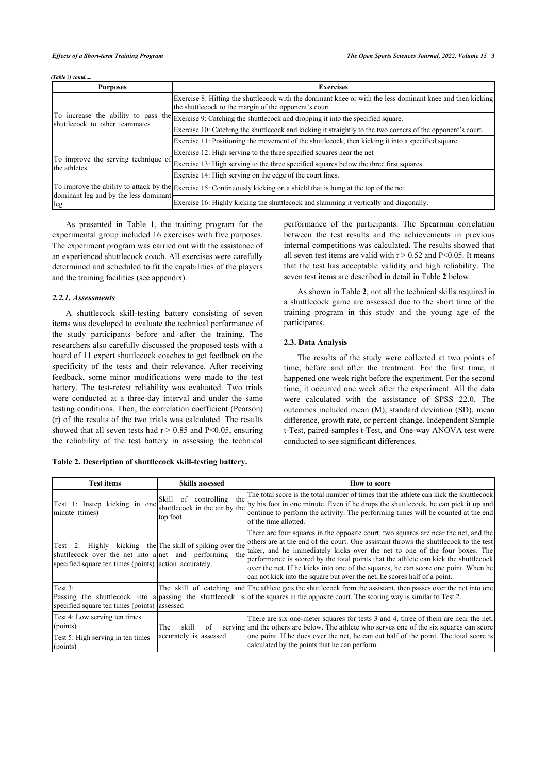|  | (Table 3) contd |
|--|-----------------|
|--|-----------------|

| <b>Purposes</b>                       | <b>Exercises</b>                                                                                                                                                     |
|---------------------------------------|----------------------------------------------------------------------------------------------------------------------------------------------------------------------|
|                                       | Exercise 8: Hitting the shuttlecock with the dominant knee or with the less dominant knee and then kicking<br>the shuttlecock to the margin of the opponent's court. |
| shuttlecock to other teammates        | To increase the ability to pass the Exercise 9: Catching the shuttlecock and dropping it into the specified square.                                                  |
|                                       | Exercise 10: Catching the shuttlecock and kicking it straightly to the two corners of the opponent's court.                                                          |
|                                       | Exercise 11: Positioning the movement of the shuttlecock, then kicking it into a specified square                                                                    |
|                                       | Exercise 12: High serving to the three specified squares near the net                                                                                                |
| the athletes                          | To improve the serving technique of Exercise 13: High serving to the three specified squares below the three first squares                                           |
|                                       | Exercise 14: High serving on the edge of the court lines.                                                                                                            |
| dominant leg and by the less dominant | To improve the ability to attack by the Exercise 15: Continuously kicking on a shield that is hung at the top of the net.                                            |
| leg                                   | Exercise 16: Highly kicking the shuttlecock and slamming it vertically and diagonally.                                                                               |

As presented in Table**1**, the training program for the experimental group included 16 exercises with five purposes. The experiment program was carried out with the assistance of an experienced shuttlecock coach. All exercises were carefully determined and scheduled to fit the capabilities of the players and the training facilities (see appendix).

# *2.2.1. Assessments*

A shuttlecock skill-testing battery consisting of seven items was developed to evaluate the technical performance of the study participants before and after the training. The researchers also carefully discussed the proposed tests with a board of 11 expert shuttlecock coaches to get feedback on the specificity of the tests and their relevance. After receiving feedback, some minor modifications were made to the test battery. The test-retest reliability was evaluated. Two trials were conducted at a three-day interval and under the same testing conditions. Then, the correlation coefficient (Pearson) (r) of the results of the two trials was calculated. The results showed that all seven tests had  $r > 0.85$  and  $P \le 0.05$ , ensuring the reliability of the test battery in assessing the technical

<span id="page-2-0"></span>**Table 2. Description of shuttlecock skill-testing battery.**

performance of the participants. The Spearman correlation between the test results and the achievements in previous internal competitions was calculated. The results showed that all seven test items are valid with  $r > 0.52$  and  $P < 0.05$ . It means that the test has acceptable validity and high reliability. The seven test items are described in detail in Table **[2](#page-2-0)** below.

As shown in Table **[2](#page-2-0)**, not all the technical skills required in a shuttlecock game are assessed due to the short time of the training program in this study and the young age of the participants.

## **2.3. Data Analysis**

The results of the study were collected at two points of time, before and after the treatment. For the first time, it happened one week right before the experiment. For the second time, it occurred one week after the experiment. All the data were calculated with the assistance of SPSS 22.0. The outcomes included mean (M), standard deviation (SD), mean difference, growth rate, or percent change. Independent Sample t-Test, paired-samples t-Test, and One-way ANOVA test were conducted to see significant differences.

| <b>Test items</b>                                                                                                                                                        | <b>Skills assessed</b>                                                           | <b>How to score</b>                                                                                                                                                                                                                                                                                                                                                                                                                                                                                                 |
|--------------------------------------------------------------------------------------------------------------------------------------------------------------------------|----------------------------------------------------------------------------------|---------------------------------------------------------------------------------------------------------------------------------------------------------------------------------------------------------------------------------------------------------------------------------------------------------------------------------------------------------------------------------------------------------------------------------------------------------------------------------------------------------------------|
| Test 1: Instep kicking in one<br>minute (times)                                                                                                                          | controlling<br>thel<br>ISkill<br>of<br>shuttlecock in the air by the<br>top foot | The total score is the total number of times that the athlete can kick the shuttlecock<br>by his foot in one minute. Even if he drops the shuttlecock, he can pick it up and<br>continue to perform the activity. The performing times will be counted at the end<br>of the time allotted.                                                                                                                                                                                                                          |
| Test 2: Highly kicking the The skill of spiking over the<br>shuttlecock over the net into a net and performing<br>specified square ten times (points) action accurately. | thel                                                                             | There are four squares in the opposite court, two squares are near the net, and the<br>others are at the end of the court. One assistant throws the shuttlecock to the test<br>taker, and he immediately kicks over the net to one of the four boxes. The<br>performance is scored by the total points that the athlete can kick the shuttlecock<br>over the net. If he kicks into one of the squares, he can score one point. When he<br>can not kick into the square but over the net, he scores half of a point. |
| Test 3:<br>specified square ten times (points) assessed                                                                                                                  |                                                                                  | The skill of catching and The athlete gets the shuttlecock from the assistant, then passes over the net into one<br>Passing the shuttlecock into a passing the shuttlecock is of the squares in the opposite court. The scoring way is similar to Test 2.                                                                                                                                                                                                                                                           |
| Test 4: Low serving ten times<br>(points)                                                                                                                                | The<br>of<br>skill                                                               | There are six one-meter squares for tests 3 and 4, three of them are near the net,<br>serving and the others are below. The athlete who serves one of the six squares can score                                                                                                                                                                                                                                                                                                                                     |
| Test 5: High serving in ten times<br>(points)                                                                                                                            | accurately is assessed                                                           | one point. If he does over the net, he can cut half of the point. The total score is<br>calculated by the points that he can perform.                                                                                                                                                                                                                                                                                                                                                                               |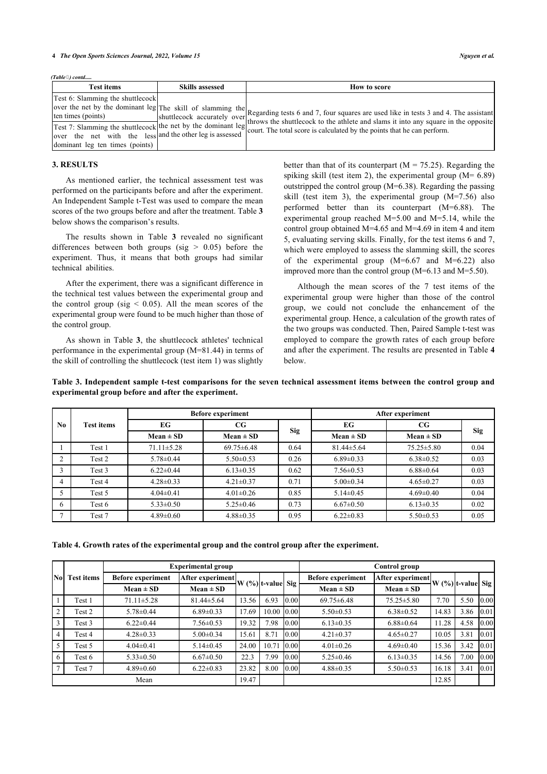*(Table ) contd.....*

| Test items                                                                                                                      | <b>Skills assessed</b> | How to score                                                                                                                                                                                                                                                                                                                                                        |
|---------------------------------------------------------------------------------------------------------------------------------|------------------------|---------------------------------------------------------------------------------------------------------------------------------------------------------------------------------------------------------------------------------------------------------------------------------------------------------------------------------------------------------------------|
| Test 6: Slamming the shuttlecock<br>over the net with the less and the other leg is assessed<br>dominant leg ten times (points) |                        | over the net by the dominant leg The skill of slamming the Regarding tests 6 and 7, four squares are used like in tests 3 and 4. The assistant shuttlecock accurately over the shuttlecock is the shuttlecock to the athlete a<br>Test 7: Slamming the shuttlecock the net by the dominant leg unconsumed and core is calculated by the points that he can perform. |

## **3. RESULTS**

As mentioned earlier, the technical assessment test was performed on the participants before and after the experiment. An Independent Sample t-Test was used to compare the mean scores of the two groups before and after the treatment. Table **[3](#page-3-0)** below shows the comparison's results.

The results shown in Table**3** revealed no significant differences between both groups (sig  $> 0.05$ ) before the experiment. Thus, it means that both groups had similar technical abilities.

After the experiment, there was a significant difference in the technical test values between the experimental group and the control group (sig  $\leq$  0.05). All the mean scores of the experimental group were found to be much higher than those of the control group.

As shown in Table**3**, the shuttlecock athletes' technical performance in the experimental group (M=81.44) in terms of the skill of controlling the shuttlecock (test item 1) was slightly

better than that of its counterpart ( $M = 75.25$ ). Regarding the spiking skill (test item 2), the experimental group  $(M= 6.89)$ outstripped the control group (M=6.38). Regarding the passing skill (test item 3), the experimental group (M=7.56) also performed better than its counterpart (M=6.88). The experimental group reached M=5.00 and M=5.14, while the control group obtained M=4.65 and M=4.69 in item 4 and item 5, evaluating serving skills. Finally, for the test items 6 and 7, which were employed to assess the slamming skill, the scores of the experimental group  $(M=6.67$  and  $M=6.22)$  also improved more than the control group (M=6.13 and M=5.50).

Although the mean scores of the 7 test items of the experimental group were higher than those of the control group, we could not conclude the enhancement of the experimental group. Hence, a calculation of the growth rates of the two groups was conducted. Then, Paired Sample t-test was employed to compare the growth rates of each group before and after the experiment. The results are presented in Table **[4](#page-3-1)** below.

<span id="page-3-0"></span>**Table 3. Independent sample t-test comparisons for the seven technical assessment items between the control group and experimental group before and after the experiment.**

|                |                   |                  | <b>Before experiment</b> |      | After experiment |                  |      |  |  |  |  |  |  |  |
|----------------|-------------------|------------------|--------------------------|------|------------------|------------------|------|--|--|--|--|--|--|--|
| No.            | <b>Test items</b> | EG               | $_{\rm CG}$              |      | EG               | $_{\rm CG}$      |      |  |  |  |  |  |  |  |
|                |                   | $Mean \pm SD$    | $Mean \pm SD$            | Sig  | $Mean \pm SD$    | $Mean \pm SD$    | Sig  |  |  |  |  |  |  |  |
|                | Test 1            | $71.11 \pm 5.28$ | $69.75 \pm 6.48$         | 0.64 | $81.44 \pm 5.64$ | $75.25 \pm 5.80$ | 0.04 |  |  |  |  |  |  |  |
| $\mathcal{L}$  | Test 2            | $5.78 \pm 0.44$  | $5.50 \pm 0.53$          | 0.26 | $6.89 \pm 0.33$  | $6.38 \pm 0.52$  | 0.03 |  |  |  |  |  |  |  |
|                | Test 3            | $6.22 \pm 0.44$  | $6.13 \pm 0.35$          | 0.62 | $7.56 \pm 0.53$  | $6.88 \pm 0.64$  | 0.03 |  |  |  |  |  |  |  |
| $\overline{4}$ | Test 4            | $4.28 \pm 0.33$  | $4.21 \pm 0.37$          | 0.71 | $5.00 \pm 0.34$  | $4.65 \pm 0.27$  | 0.03 |  |  |  |  |  |  |  |
|                | Test 5            | $4.04 \pm 0.41$  | $4.01 \pm 0.26$          | 0.85 | $5.14 \pm 0.45$  | $4.69 \pm 0.40$  | 0.04 |  |  |  |  |  |  |  |
| 6              | Test 6            | $5.33 \pm 0.50$  | $5.25 \pm 0.46$          | 0.73 | $6.67 \pm 0.50$  | $6.13 \pm 0.35$  | 0.02 |  |  |  |  |  |  |  |
|                | Test 7            | $4.89 \pm 0.60$  | $4.88 \pm 0.35$          | 0.95 | $6.22 \pm 0.83$  | $5.50 \pm 0.53$  | 0.05 |  |  |  |  |  |  |  |

<span id="page-3-1"></span>**Table 4. Growth rates of the experimental group and the control group after the experiment.**

<span id="page-3-2"></span>

|                        |                   |                          | <b>Experimental group</b> |       |                   |      | Control group            |                  |                       |      |      |  |  |  |  |  |  |
|------------------------|-------------------|--------------------------|---------------------------|-------|-------------------|------|--------------------------|------------------|-----------------------|------|------|--|--|--|--|--|--|
| $\mathbf{N}\mathbf{0}$ | <b>Test items</b> | <b>Before experiment</b> | After experiment          |       | W (%) t-value Sig |      | <b>Before experiment</b> | After experiment | $ W(\%) t$ -value Sig |      |      |  |  |  |  |  |  |
|                        |                   | $Mean \pm SD$            | $Mean \pm SD$             |       |                   |      | $Mean \pm SD$            | $Mean \pm SD$    |                       |      |      |  |  |  |  |  |  |
|                        | Test 1            | $71.11 \pm 5.28$         | $81.44 \pm 5.64$          | 13.56 | 6.93              | 0.00 | $69.75 \pm 6.48$         | $75.25 \pm 5.80$ | 7.70                  | 5.50 | 0.00 |  |  |  |  |  |  |
|                        | Test 2            | $5.78 \pm 0.44$          | $6.89 \pm 0.33$           | 17.69 | 10.00             | 0.00 | $5.50 \pm 0.53$          | $6.38 \pm 0.52$  | 14.83                 | 3.86 | 0.01 |  |  |  |  |  |  |
|                        | Test 3            | $6.22 \pm 0.44$          | $7.56 \pm 0.53$           | 19.32 | 7.98              | 0.00 | $6.13 \pm 0.35$          | $6.88 \pm 0.64$  | 11.28                 | 4.58 | 0.00 |  |  |  |  |  |  |
|                        | Test 4            | $4.28 \pm 0.33$          | $5.00 \pm 0.34$           | 15.61 | 8.71              | 0.00 | $4.21 \pm 0.37$          | $4.65 \pm 0.27$  | 10.05                 | 3.81 | 0.01 |  |  |  |  |  |  |
|                        | Test 5            | $4.04\pm0.41$            | $5.14 \pm 0.45$           | 24.00 | 10.71             | 0.00 | $4.01 \pm 0.26$          | $4.69 \pm 0.40$  | 15.36                 | 3.42 | 0.01 |  |  |  |  |  |  |
| 6                      | Test 6            | $5.33 \pm 0.50$          | $6.67 \pm 0.50$           | 22.3  | 7.99              | 0.00 | $5.25 \pm 0.46$          | $6.13 \pm 0.35$  | 14.56                 | 7.00 | 0.00 |  |  |  |  |  |  |
|                        | Test 7            | $4.89 \pm 0.60$          | $6.22 \pm 0.83$           | 23.82 | 8.00              | 0.00 | $4.88 \pm 0.35$          | $5.50 \pm 0.53$  | 16.18                 | 3.41 | 0.01 |  |  |  |  |  |  |
|                        |                   | Mean                     |                           | 19.47 |                   |      |                          |                  | 12.85                 |      |      |  |  |  |  |  |  |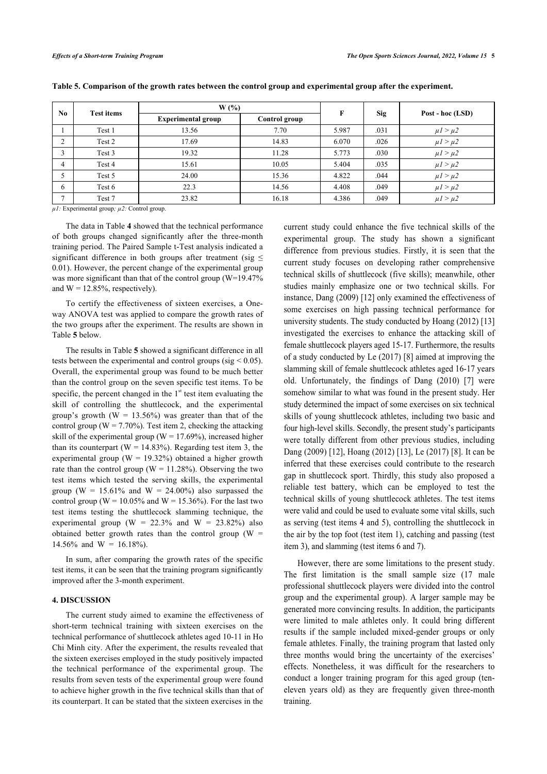| N <sub>0</sub> | <b>Test items</b> | $W(\%)$                   |               | F     |      | Post - hoc (LSD)  |  |  |  |  |  |
|----------------|-------------------|---------------------------|---------------|-------|------|-------------------|--|--|--|--|--|
|                |                   | <b>Experimental group</b> | Control group |       | Sig  |                   |  |  |  |  |  |
|                | Test 1            | 13.56                     | 7.70          | 5.987 | .031 | $\mu$ 1 > $\mu$ 2 |  |  |  |  |  |
| $\sim$         | Test 2            | 17.69                     | 14.83         | 6.070 | .026 | $\mu$ 1 > $\mu$ 2 |  |  |  |  |  |
| 3              | Test 3            | 19.32                     | 11.28         | 5.773 | .030 | $\mu$ 1 > $\mu$ 2 |  |  |  |  |  |
| 4              | Test 4            | 15.61                     | 10.05         | 5.404 | .035 | $\mu$ 1 > $\mu$ 2 |  |  |  |  |  |
| 5              | Test 5            | 24.00                     | 15.36         | 4.822 | .044 | $\mu$ 1 > $\mu$ 2 |  |  |  |  |  |
| 6              | Test 6            | 22.3                      | 14.56         | 4.408 | .049 | $\mu$ 1 > $\mu$ 2 |  |  |  |  |  |
| $\overline{ }$ | Test 7            | 23.82                     | 16.18         | 4.386 | .049 | $\mu$ 1 > $\mu$ 2 |  |  |  |  |  |

#### **Table 5. Comparison of the growth rates between the control group and experimental group after the experiment.**

 $\mu$ *l*: Experimental group;  $\mu$ 2: Control group.

The data in Table **[4](#page-3-1)** showed that the technical performance of both groups changed significantly after the three-month training period. The Paired Sample t-Test analysis indicated a significant difference in both groups after treatment (sig  $\leq$ 0.01). However, the percent change of the experimental group was more significant than that of the control group (W=19.47%) and  $W = 12.85\%$ , respectively).

To certify the effectiveness of sixteen exercises, a Oneway ANOVA test was applied to compare the growth rates of the two groups after the experiment. The results are shown in Table **[5](#page-3-2)** below.

The results in Table **[5](#page-3-2)** showed a significant difference in all tests between the experimental and control groups (sig  $\leq 0.05$ ). Overall, the experimental group was found to be much better than the control group on the seven specific test items. To be specific, the percent changed in the  $1<sup>st</sup>$  test item evaluating the skill of controlling the shuttlecock, and the experimental group's growth ( $W = 13.56\%$ ) was greater than that of the control group ( $W = 7.70\%$ ). Test item 2, checking the attacking skill of the experimental group ( $W = 17.69\%$ ), increased higher than its counterpart ( $W = 14.83\%$ ). Regarding test item 3, the experimental group ( $W = 19.32\%$ ) obtained a higher growth rate than the control group ( $W = 11.28\%$ ). Observing the two test items which tested the serving skills, the experimental group (W =  $15.61\%$  and W = 24.00%) also surpassed the control group ( $W = 10.05\%$  and  $W = 15.36\%$ ). For the last two test items testing the shuttlecock slamming technique, the experimental group (W =  $22.3\%$  and W =  $23.82\%$ ) also obtained better growth rates than the control group ( $W =$ 14.56% and  $W = 16.18\%$ ).

In sum, after comparing the growth rates of the specific test items, it can be seen that the training program significantly improved after the 3-month experiment.

# **4. DISCUSSION**

The current study aimed to examine the effectiveness of short-term technical training with sixteen exercises on the technical performance of shuttlecock athletes aged 10-11 in Ho Chi Minh city. After the experiment, the results revealed that the sixteen exercises employed in the study positively impacted the technical performance of the experimental group. The results from seven tests of the experimental group were found to achieve higher growth in the five technical skills than that of its counterpart. It can be stated that the sixteen exercises in the

current study could enhance the five technical skills of the experimental group. The study has shown a significant difference from previous studies. Firstly, it is seen that the current study focuses on developing rather comprehensive technical skills of shuttlecock (five skills); meanwhile, other studies mainly emphasize one or two technical skills. For instance, Dang (2009) [[12\]](#page-6-11) only examined the effectiveness of some exercises on high passing technical performance for university students. The study conducted by Hoang (2012) [[13\]](#page-6-12) investigated the exercises to enhance the attacking skill of female shuttlecock players aged 15-17. Furthermore, the results of a study conducted by Le (2017) [\[8\]](#page-6-7) aimed at improving the slamming skill of female shuttlecock athletes aged 16-17 years old. Unfortunately, the findings of Dang (2010) [\[7\]](#page-6-6) were somehow similar to what was found in the present study. Her study determined the impact of some exercises on six technical skills of young shuttlecock athletes, including two basic and four high-level skills. Secondly, the present study's participants were totally different from other previous studies, including Dang (2009) [\[12](#page-6-11)], Hoang (2012) [\[13](#page-6-12)], Le (2017) [\[8\]](#page-6-7). It can be inferred that these exercises could contribute to the research gap in shuttlecock sport. Thirdly, this study also proposed a reliable test battery, which can be employed to test the technical skills of young shuttlecock athletes. The test items were valid and could be used to evaluate some vital skills, such as serving (test items 4 and 5), controlling the shuttlecock in the air by the top foot (test item 1), catching and passing (test item 3), and slamming (test items 6 and 7).

However, there are some limitations to the present study. The first limitation is the small sample size (17 male professional shuttlecock players were divided into the control group and the experimental group). A larger sample may be generated more convincing results. In addition, the participants were limited to male athletes only. It could bring different results if the sample included mixed-gender groups or only female athletes. Finally, the training program that lasted only three months would bring the uncertainty of the exercises' effects. Nonetheless, it was difficult for the researchers to conduct a longer training program for this aged group (teneleven years old) as they are frequently given three-month training.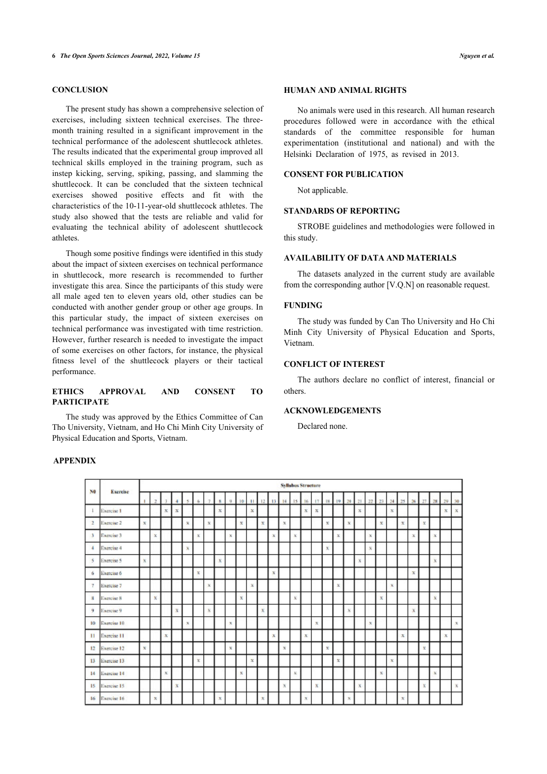## **CONCLUSION**

The present study has shown a comprehensive selection of exercises, including sixteen technical exercises. The threemonth training resulted in a significant improvement in the technical performance of the adolescent shuttlecock athletes. The results indicated that the experimental group improved all technical skills employed in the training program, such as instep kicking, serving, spiking, passing, and slamming the shuttlecock. It can be concluded that the sixteen technical exercises showed positive effects and fit with the characteristics of the 10-11-year-old shuttlecock athletes. The study also showed that the tests are reliable and valid for evaluating the technical ability of adolescent shuttlecock athletes.

Though some positive findings were identified in this study about the impact of sixteen exercises on technical performance in shuttlecock, more research is recommended to further investigate this area. Since the participants of this study were all male aged ten to eleven years old, other studies can be conducted with another gender group or other age groups. In this particular study, the impact of sixteen exercises on technical performance was investigated with time restriction. However, further research is needed to investigate the impact of some exercises on other factors, for instance, the physical fitness level of the shuttlecock players or their tactical performance.

# **ETHICS APPROVAL AND CONSENT TO PARTICIPATE**

The study was approved by the Ethics Committee of Can Tho University, Vietnam, and Ho Chi Minh City University of Physical Education and Sports, Vietnam.

## **HUMAN AND ANIMAL RIGHTS**

No animals were used in this research. All human research procedures followed were in accordance with the ethical standards of the committee responsible for human experimentation (institutional and national) and with the Helsinki Declaration of 1975, as revised in 2013.

# **CONSENT FOR PUBLICATION**

Not applicable.

#### **STANDARDS OF REPORTING**

STROBE guidelines and methodologies were followed in this study.

# **AVAILABILITY OF DATA AND MATERIALS**

The datasets analyzed in the current study are available from the corresponding author [V.Q.N] on reasonable request.

## **FUNDING**

The study was funded by Can Tho University and Ho Chi Minh City University of Physical Education and Sports, Vietnam.

# **CONFLICT OF INTEREST**

The authors declare no conflict of interest, financial or others.

# **ACKNOWLEDGEMENTS**

Declared none.

#### **APPENDIX**

|                 |                       |              |                |                     |                |              |              |                          |              |              |                 |              |                           |                 |             | <b>Syllabus Structure</b> |              |                         |              |                |              |             |              |              |    |             |             |             |                         |             |             |
|-----------------|-----------------------|--------------|----------------|---------------------|----------------|--------------|--------------|--------------------------|--------------|--------------|-----------------|--------------|---------------------------|-----------------|-------------|---------------------------|--------------|-------------------------|--------------|----------------|--------------|-------------|--------------|--------------|----|-------------|-------------|-------------|-------------------------|-------------|-------------|
| NO              | Exercise              | r.           | $\overline{z}$ | $\overline{1}$      | $\overline{a}$ | ×            | 6            | $\overline{\phantom{a}}$ | $\mathbf{x}$ | $\alpha$     | 10 <sub>1</sub> | $\mathbf{H}$ | 12                        | 13 <sup>1</sup> | 14          | 15                        | 16           | IT.                     | 18           | 19             | 20           | 21          | 22           | 23           | 24 | 25          | 26          | 27          | 28                      | 29          | 30          |
| 1               | Exercise 1            |              |                | $\boldsymbol{\chi}$ | $\mathbf x$    |              |              |                          | $\mathbf x$  |              |                 | $\mathbf x$  |                           |                 |             |                           | $\mathbf x$  | $\mathbf x$             |              |                |              | $\mathbf x$ |              |              | x  |             |             |             |                         | $\mathbf x$ | $\mathbf x$ |
| $\mathbf{r}$    | Exercise <sub>2</sub> | $\mathbf{x}$ |                |                     |                | $\mathbf x$  |              | $\bf x$                  |              |              | $\mathbf x$     |              | $\mathbf x$               |                 | $\mathbf x$ |                           |              |                         | $\mathbf{x}$ |                | $\mathbf{x}$ |             |              | $\mathbf{x}$ |    | $\mathbf x$ |             | $\mathbf x$ |                         |             |             |
| 3               | Exercise 3            |              | $\mathbf x$    |                     |                |              | x            |                          |              | x            |                 |              |                           | $\mathbf x$     |             | $\bf k$                   |              |                         |              | x              |              |             | $\mathbf x$  |              |    |             | $\mathbf x$ |             | $\mathbf x$             |             |             |
| 4               | Exercise 4            |              |                |                     |                | X            |              |                          |              |              |                 |              |                           |                 |             |                           |              |                         | $\mathbf{x}$ |                |              |             | ×            |              |    |             |             |             |                         |             |             |
| 5               | Exercise 5            | x            |                |                     |                |              |              |                          | $\mathbf{x}$ |              |                 |              |                           |                 |             |                           |              |                         |              |                |              | x           |              |              |    |             |             |             | $\bf x$                 |             |             |
| 6               | Exercise 6            |              |                |                     |                |              | $\mathbf{x}$ |                          |              |              |                 |              |                           | $\mathbf x$     |             |                           |              |                         |              |                |              |             |              |              |    |             | $\mathbf x$ |             |                         |             |             |
| $\tau$          | Exercise <sub>7</sub> |              |                |                     |                |              |              | $\mathbf x$              |              |              |                 | $\mathbf x$  |                           |                 |             |                           |              |                         |              | x              |              |             |              |              | x  |             |             |             |                         |             |             |
| 8               | Exercise 8            |              | $\mathbf{x}$   |                     |                |              |              |                          |              |              | $\bf x$         |              |                           |                 |             | x                         |              |                         |              |                |              |             |              | x            |    |             |             |             | $\overline{\mathbf{x}}$ |             |             |
| $\overline{9}$  | Exercise 9            |              |                |                     | $\mathbf x$    |              |              | X                        |              |              |                 |              | $\overline{\mathbf{x}}$   |                 |             |                           |              |                         |              |                | $\bar{x}$    |             |              |              |    |             | $\bf x$     |             |                         |             |             |
| to              | Exercise 10           |              |                |                     |                | $\mathbf{x}$ |              |                          |              | x            |                 |              |                           |                 |             |                           |              | $\mathbf x$             |              |                |              |             | $\mathbf{X}$ |              |    |             |             |             |                         |             | $\mathbf x$ |
| $^{11}$         | Exercise 11           |              |                | $\mathbf x$         |                |              |              |                          |              |              |                 |              |                           | $\mathbf x$     |             |                           | x            |                         |              |                |              |             |              |              |    | x           |             |             |                         | $\mathbf x$ |             |
| 12              | Exercise 12           | $\mathbf x$  |                |                     |                |              |              |                          |              | $\mathbf{x}$ |                 |              |                           |                 | $\bf x$     |                           |              |                         | $\mathbf{x}$ |                |              |             |              |              |    |             |             | $\mathbf x$ |                         |             |             |
| 13 <sup>°</sup> | Exercise 13           |              |                |                     |                |              | x            |                          |              |              |                 | $\mathbf x$  |                           |                 |             |                           |              |                         |              | $\overline{x}$ |              |             |              |              | x  |             |             |             |                         |             |             |
| 14              | Exercise 14           |              |                | $\mathbf{x}$        |                |              |              |                          |              |              | $\mathbf x$     |              |                           |                 |             | x                         |              |                         |              |                |              |             |              | x            |    |             |             |             | $\mathbf x$             |             |             |
| 15              | Exercise 15           |              |                |                     | x              |              |              |                          |              |              |                 |              |                           |                 | X           |                           |              | $\overline{\mathbf{x}}$ |              |                |              | X           |              |              |    |             |             | $\bf{X}$    |                         |             | $\bf x$     |
| 16 <sub>1</sub> | Exercise 16           |              | $\mathbf{x}$   |                     |                |              |              |                          | $\mathbf{x}$ |              |                 |              | $\boldsymbol{\mathsf{x}}$ |                 |             |                           | $\mathbf{x}$ |                         |              |                | $\mathbf{x}$ |             |              |              |    | $\propto$   |             |             |                         |             |             |